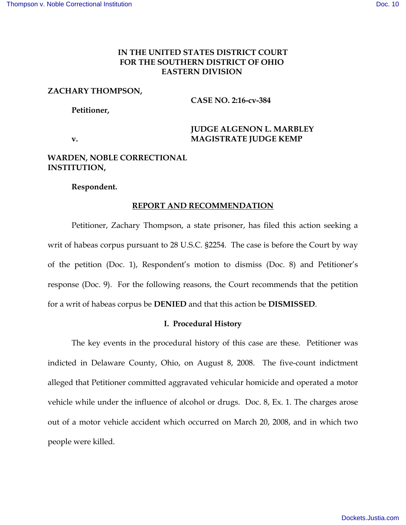# **IN THE UNITED STATES DISTRICT COURT FOR THE SOUTHERN DISTRICT OF OHIO EASTERN DIVISION**

### **ZACHARY THOMPSON,**

**CASE NO. 2:16-cv-384**

**Petitioner,** 

# **JUDGE ALGENON L. MARBLEY v. MAGISTRATE JUDGE KEMP**

# **WARDEN, NOBLE CORRECTIONAL INSTITUTION,**

## **Respondent.**

### **REPORT AND RECOMMENDATION**

Petitioner, Zachary Thompson, a state prisoner, has filed this action seeking a writ of habeas corpus pursuant to 28 U.S.C. §2254. The case is before the Court by way of the petition (Doc. 1), Respondent's motion to dismiss (Doc. 8) and Petitioner's response (Doc. 9). For the following reasons, the Court recommends that the petition for a writ of habeas corpus be **DENIED** and that this action be **DISMISSED**.

### **I. Procedural History**

The key events in the procedural history of this case are these. Petitioner was indicted in Delaware County, Ohio, on August 8, 2008. The five-count indictment alleged that Petitioner committed aggravated vehicular homicide and operated a motor vehicle while under the influence of alcohol or drugs. Doc. 8, Ex. 1. The charges arose out of a motor vehicle accident which occurred on March 20, 2008, and in which two people were killed.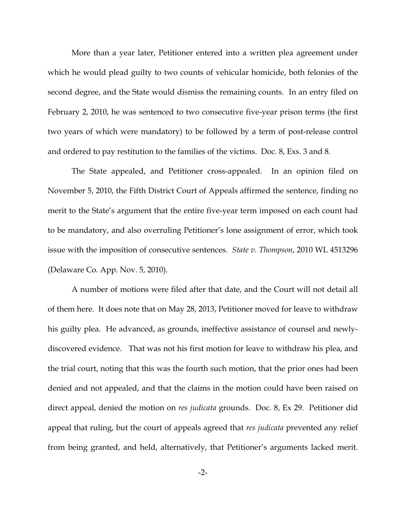More than a year later, Petitioner entered into a written plea agreement under which he would plead guilty to two counts of vehicular homicide, both felonies of the second degree, and the State would dismiss the remaining counts. In an entry filed on February 2, 2010, he was sentenced to two consecutive five-year prison terms (the first two years of which were mandatory) to be followed by a term of post-release control and ordered to pay restitution to the families of the victims. Doc. 8, Exs. 3 and 8.

The State appealed, and Petitioner cross-appealed. In an opinion filed on November 5, 2010, the Fifth District Court of Appeals affirmed the sentence, finding no merit to the State's argument that the entire five-year term imposed on each count had to be mandatory, and also overruling Petitioner's lone assignment of error, which took issue with the imposition of consecutive sentences. *State v. Thompson*, 2010 WL 4513296 (Delaware Co. App. Nov. 5, 2010).

A number of motions were filed after that date, and the Court will not detail all of them here. It does note that on May 28, 2013, Petitioner moved for leave to withdraw his guilty plea. He advanced, as grounds, ineffective assistance of counsel and newlydiscovered evidence. That was not his first motion for leave to withdraw his plea, and the trial court, noting that this was the fourth such motion, that the prior ones had been denied and not appealed, and that the claims in the motion could have been raised on direct appeal, denied the motion on *res judicata* grounds. Doc. 8, Ex 29. Petitioner did appeal that ruling, but the court of appeals agreed that *res judicata* prevented any relief from being granted, and held, alternatively, that Petitioner's arguments lacked merit.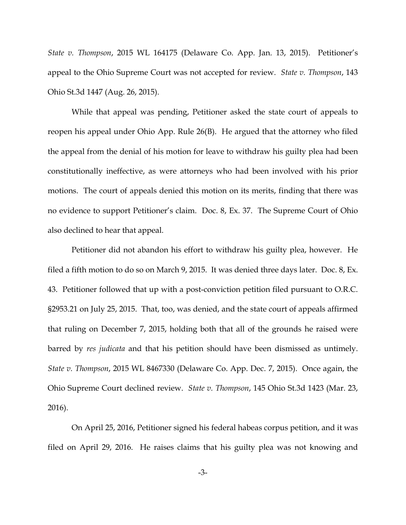*State v. Thompson*, 2015 WL 164175 (Delaware Co. App. Jan. 13, 2015). Petitioner's appeal to the Ohio Supreme Court was not accepted for review. *State v. Thompson*, 143 Ohio St.3d 1447 (Aug. 26, 2015).

While that appeal was pending, Petitioner asked the state court of appeals to reopen his appeal under Ohio App. Rule 26(B). He argued that the attorney who filed the appeal from the denial of his motion for leave to withdraw his guilty plea had been constitutionally ineffective, as were attorneys who had been involved with his prior motions. The court of appeals denied this motion on its merits, finding that there was no evidence to support Petitioner's claim. Doc. 8, Ex. 37. The Supreme Court of Ohio also declined to hear that appeal.

Petitioner did not abandon his effort to withdraw his guilty plea, however. He filed a fifth motion to do so on March 9, 2015. It was denied three days later. Doc. 8, Ex. 43. Petitioner followed that up with a post-conviction petition filed pursuant to O.R.C. §2953.21 on July 25, 2015. That, too, was denied, and the state court of appeals affirmed that ruling on December 7, 2015, holding both that all of the grounds he raised were barred by *res judicata* and that his petition should have been dismissed as untimely. *State v. Thompson*, 2015 WL 8467330 (Delaware Co. App. Dec. 7, 2015). Once again, the Ohio Supreme Court declined review. *State v. Thompson*, 145 Ohio St.3d 1423 (Mar. 23, 2016).

On April 25, 2016, Petitioner signed his federal habeas corpus petition, and it was filed on April 29, 2016. He raises claims that his guilty plea was not knowing and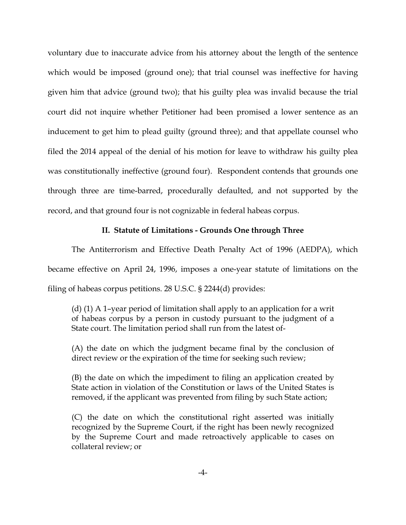voluntary due to inaccurate advice from his attorney about the length of the sentence which would be imposed (ground one); that trial counsel was ineffective for having given him that advice (ground two); that his guilty plea was invalid because the trial court did not inquire whether Petitioner had been promised a lower sentence as an inducement to get him to plead guilty (ground three); and that appellate counsel who filed the 2014 appeal of the denial of his motion for leave to withdraw his guilty plea was constitutionally ineffective (ground four). Respondent contends that grounds one through three are time-barred, procedurally defaulted, and not supported by the record, and that ground four is not cognizable in federal habeas corpus.

### **II. Statute of Limitations - Grounds One through Three**

The Antiterrorism and Effective Death Penalty Act of 1996 (AEDPA), which became effective on April 24, 1996, imposes a one-year statute of limitations on the filing of habeas corpus petitions. 28 U.S.C. § 2244(d) provides:

(d) (1) A 1–year period of limitation shall apply to an application for a writ of habeas corpus by a person in custody pursuant to the judgment of a State court. The limitation period shall run from the latest of-

(A) the date on which the judgment became final by the conclusion of direct review or the expiration of the time for seeking such review;

(B) the date on which the impediment to filing an application created by State action in violation of the Constitution or laws of the United States is removed, if the applicant was prevented from filing by such State action;

(C) the date on which the constitutional right asserted was initially recognized by the Supreme Court, if the right has been newly recognized by the Supreme Court and made retroactively applicable to cases on collateral review; or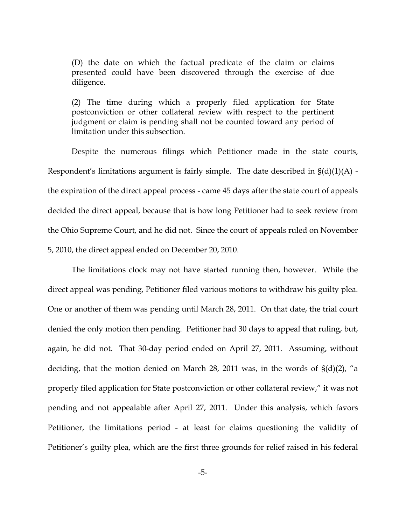(D) the date on which the factual predicate of the claim or claims presented could have been discovered through the exercise of due diligence.

(2) The time during which a properly filed application for State postconviction or other collateral review with respect to the pertinent judgment or claim is pending shall not be counted toward any period of limitation under this subsection.

Despite the numerous filings which Petitioner made in the state courts, Respondent's limitations argument is fairly simple. The date described in  $\S(d)(1)(A)$  the expiration of the direct appeal process - came 45 days after the state court of appeals decided the direct appeal, because that is how long Petitioner had to seek review from the Ohio Supreme Court, and he did not. Since the court of appeals ruled on November 5, 2010, the direct appeal ended on December 20, 2010.

The limitations clock may not have started running then, however. While the direct appeal was pending, Petitioner filed various motions to withdraw his guilty plea. One or another of them was pending until March 28, 2011. On that date, the trial court denied the only motion then pending. Petitioner had 30 days to appeal that ruling, but, again, he did not. That 30-day period ended on April 27, 2011. Assuming, without deciding, that the motion denied on March 28, 2011 was, in the words of §(d)(2), "a properly filed application for State postconviction or other collateral review," it was not pending and not appealable after April 27, 2011. Under this analysis, which favors Petitioner, the limitations period - at least for claims questioning the validity of Petitioner's guilty plea, which are the first three grounds for relief raised in his federal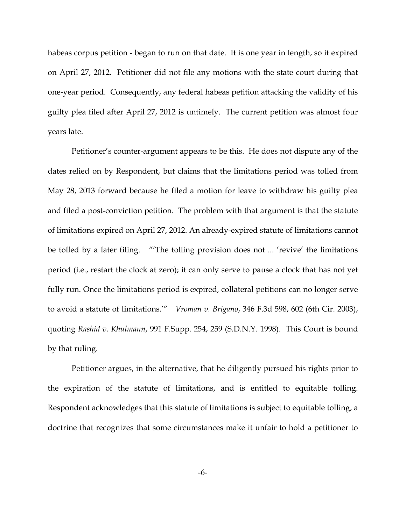habeas corpus petition - began to run on that date. It is one year in length, so it expired on April 27, 2012. Petitioner did not file any motions with the state court during that one-year period. Consequently, any federal habeas petition attacking the validity of his guilty plea filed after April 27, 2012 is untimely. The current petition was almost four years late.

Petitioner's counter-argument appears to be this. He does not dispute any of the dates relied on by Respondent, but claims that the limitations period was tolled from May 28, 2013 forward because he filed a motion for leave to withdraw his guilty plea and filed a post-conviction petition. The problem with that argument is that the statute of limitations expired on April 27, 2012. An already-expired statute of limitations cannot be tolled by a later filing. "'The tolling provision does not ... 'revive' the limitations period (i.e., restart the clock at zero); it can only serve to pause a clock that has not yet fully run. Once the limitations period is expired, collateral petitions can no longer serve to avoid a statute of limitations.'" *Vroman v. Brigano*, 346 F.3d 598, 602 (6th Cir. 2003), quoting *Rashid v. Khulmann*, 991 F.Supp. 254, 259 (S.D.N.Y. 1998). This Court is bound by that ruling.

Petitioner argues, in the alternative, that he diligently pursued his rights prior to the expiration of the statute of limitations, and is entitled to equitable tolling. Respondent acknowledges that this statute of limitations is subject to equitable tolling, a doctrine that recognizes that some circumstances make it unfair to hold a petitioner to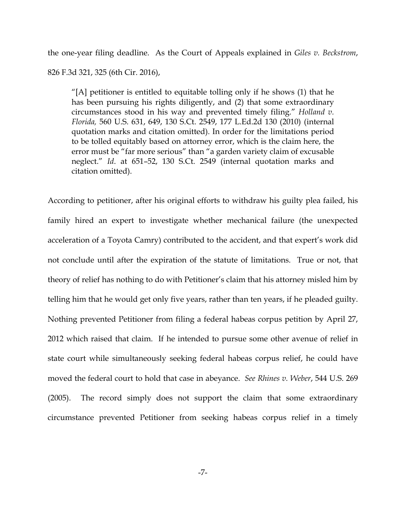the one-year filing deadline. As the Court of Appeals explained in *Giles v. Beckstrom*, 826 F.3d 321, 325 (6th Cir. 2016),

"[A] petitioner is entitled to equitable tolling only if he shows (1) that he has been pursuing his rights diligently, and (2) that some extraordinary circumstances stood in his way and prevented timely filing." *Holland v. Florida,* 560 U.S. 631, 649, 130 S.Ct. 2549, 177 L.Ed.2d 130 (2010) (internal quotation marks and citation omitted). In order for the limitations period to be tolled equitably based on attorney error, which is the claim here, the error must be "far more serious" than "a garden variety claim of excusable neglect." *Id*. at 651–52, 130 S.Ct. 2549 (internal quotation marks and citation omitted).

According to petitioner, after his original efforts to withdraw his guilty plea failed, his family hired an expert to investigate whether mechanical failure (the unexpected acceleration of a Toyota Camry) contributed to the accident, and that expert's work did not conclude until after the expiration of the statute of limitations. True or not, that theory of relief has nothing to do with Petitioner's claim that his attorney misled him by telling him that he would get only five years, rather than ten years, if he pleaded guilty. Nothing prevented Petitioner from filing a federal habeas corpus petition by April 27, 2012 which raised that claim. If he intended to pursue some other avenue of relief in state court while simultaneously seeking federal habeas corpus relief, he could have moved the federal court to hold that case in abeyance. *See Rhines v. Weber*, 544 U.S. 269 (2005). The record simply does not support the claim that some extraordinary circumstance prevented Petitioner from seeking habeas corpus relief in a timely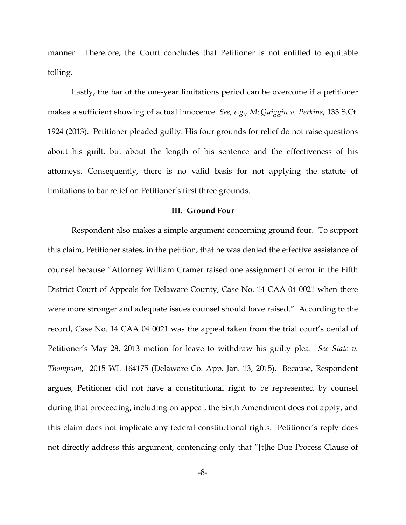manner. Therefore, the Court concludes that Petitioner is not entitled to equitable tolling.

Lastly, the bar of the one-year limitations period can be overcome if a petitioner makes a sufficient showing of actual innocence. *See, e.g., McQuiggin v. Perkins*, 133 S.Ct. 1924 (2013). Petitioner pleaded guilty. His four grounds for relief do not raise questions about his guilt, but about the length of his sentence and the effectiveness of his attorneys. Consequently, there is no valid basis for not applying the statute of limitations to bar relief on Petitioner's first three grounds.

#### **III**. **Ground Four**

Respondent also makes a simple argument concerning ground four. To support this claim, Petitioner states, in the petition, that he was denied the effective assistance of counsel because "Attorney William Cramer raised one assignment of error in the Fifth District Court of Appeals for Delaware County, Case No. 14 CAA 04 0021 when there were more stronger and adequate issues counsel should have raised." According to the record, Case No. 14 CAA 04 0021 was the appeal taken from the trial court's denial of Petitioner's May 28, 2013 motion for leave to withdraw his guilty plea. *See State v. Thompson*, 2015 WL 164175 (Delaware Co. App. Jan. 13, 2015). Because, Respondent argues, Petitioner did not have a constitutional right to be represented by counsel during that proceeding, including on appeal, the Sixth Amendment does not apply, and this claim does not implicate any federal constitutional rights. Petitioner's reply does not directly address this argument, contending only that "[t]he Due Process Clause of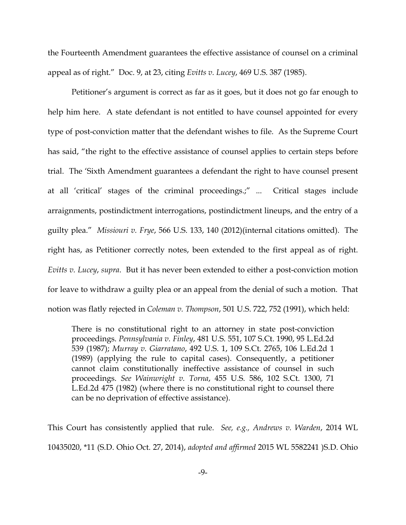the Fourteenth Amendment guarantees the effective assistance of counsel on a criminal appeal as of right." Doc. 9, at 23, citing *Evitts v. Lucey*, 469 U.S. 387 (1985).

Petitioner's argument is correct as far as it goes, but it does not go far enough to help him here. A state defendant is not entitled to have counsel appointed for every type of post-conviction matter that the defendant wishes to file. As the Supreme Court has said, "the right to the effective assistance of counsel applies to certain steps before trial. The 'Sixth Amendment guarantees a defendant the right to have counsel present at all 'critical' stages of the criminal proceedings.;" ... Critical stages include arraignments, postindictment interrogations, postindictment lineups, and the entry of a guilty plea." *Missiouri v. Frye*, 566 U.S. 133, 140 (2012)(internal citations omitted). The right has, as Petitioner correctly notes, been extended to the first appeal as of right. *Evitts v. Lucey*, *supra*. But it has never been extended to either a post-conviction motion for leave to withdraw a guilty plea or an appeal from the denial of such a motion. That notion was flatly rejected in *Coleman v. Thompson*, 501 U.S. 722, 752 (1991), which held:

There is no constitutional right to an attorney in state post-conviction proceedings. *Pennsylvania v. Finley*, 481 U.S. 551, 107 S.Ct. 1990, 95 L.Ed.2d 539 (1987); *Murray v. Giarratano*, 492 U.S. 1, 109 S.Ct. 2765, 106 L.Ed.2d 1 (1989) (applying the rule to capital cases). Consequently, a petitioner cannot claim constitutionally ineffective assistance of counsel in such proceedings. *See Wainwright v. Torna*, 455 U.S. 586, 102 S.Ct. 1300, 71 L.Ed.2d 475 (1982) (where there is no constitutional right to counsel there can be no deprivation of effective assistance).

This Court has consistently applied that rule. *See, e.g., Andrews v. Warden*, 2014 WL 10435020, \*11 (S.D. Ohio Oct. 27, 2014), *adopted and affirmed* 2015 WL 5582241 )S.D. Ohio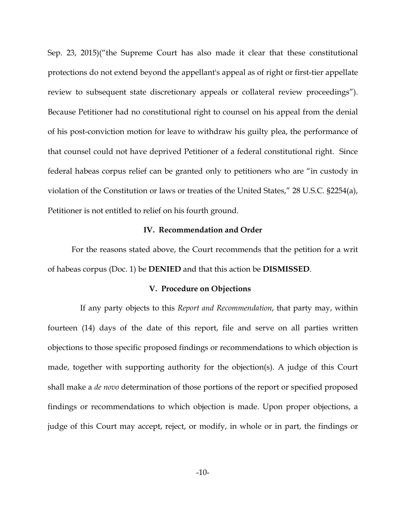Sep. 23, 2015)("the Supreme Court has also made it clear that these constitutional protections do not extend beyond the appellant's appeal as of right or first-tier appellate review to subsequent state discretionary appeals or collateral review proceedings"). Because Petitioner had no constitutional right to counsel on his appeal from the denial of his post-conviction motion for leave to withdraw his guilty plea, the performance of that counsel could not have deprived Petitioner of a federal constitutional right. Since federal habeas corpus relief can be granted only to petitioners who are "in custody in violation of the Constitution or laws or treaties of the United States," 28 U.S.C. §2254(a), Petitioner is not entitled to relief on his fourth ground.

## **IV. Recommendation and Order**

For the reasons stated above, the Court recommends that the petition for a writ of habeas corpus (Doc. 1) be **DENIED** and that this action be **DISMISSED**.

#### **V. Procedure on Objections**

 If any party objects to this *Report and Recommendation*, that party may, within fourteen (14) days of the date of this report, file and serve on all parties written objections to those specific proposed findings or recommendations to which objection is made, together with supporting authority for the objection(s). A judge of this Court shall make a *de novo* determination of those portions of the report or specified proposed findings or recommendations to which objection is made. Upon proper objections, a judge of this Court may accept, reject, or modify, in whole or in part, the findings or